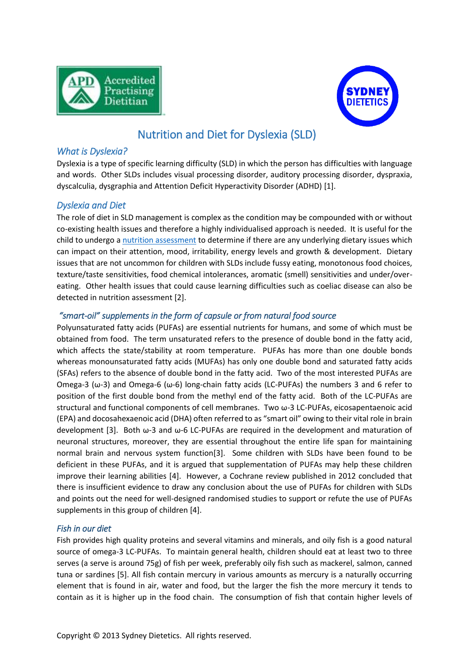



# Nutrition and Diet for Dyslexia (SLD)

### *What is Dyslexia?*

Dyslexia is a type of specific learning difficulty (SLD) in which the person has difficulties with language and words. Other SLDs includes visual processing disorder, auditory processing disorder, dyspraxia, dyscalculia, dysgraphia and Attention Deficit Hyperactivity Disorder (ADHD) [1].

# *Dyslexia and Diet*

The role of diet in SLD management is complex as the condition may be compounded with or without co-existing health issues and therefore a highly individualised approach is needed. It is useful for the child to undergo [a nutrition assessment](http://www.sydneydietetics.com/services) to determine if there are any underlying dietary issues which can impact on their attention, mood, irritability, energy levels and growth & development. Dietary issues that are not uncommon for children with SLDs include fussy eating, monotonous food choices, texture/taste sensitivities, food chemical intolerances, aromatic (smell) sensitivities and under/overeating. Other health issues that could cause learning difficulties such as coeliac disease can also be detected in nutrition assessment [2].

#### *"smart-oil" supplements in the form of capsule or from natural food source*

Polyunsaturated fatty acids (PUFAs) are essential nutrients for humans, and some of which must be obtained from food. The term unsaturated refers to the presence of double bond in the fatty acid, which affects the state/stability at room temperature. PUFAs has more than one double bonds whereas monounsaturated fatty acids (MUFAs) has only one double bond and saturated fatty acids (SFAs) refers to the absence of double bond in the fatty acid. Two of the most interested PUFAs are Omega-3 (ω-3) and Omega-6 (ω-6) long-chain fatty acids (LC-PUFAs) the numbers 3 and 6 refer to position of the first double bond from the methyl end of the fatty acid. Both of the LC-PUFAs are structural and functional components of cell membranes. Two ω-3 LC-PUFAs, eicosapentaenoic acid (EPA) and docosahexaenoic acid (DHA) often referred to as "smart oil" owing to their vital role in brain development [3]. Both ω-3 and ω-6 LC-PUFAs are required in the development and maturation of neuronal structures, moreover, they are essential throughout the entire life span for maintaining normal brain and nervous system function[3]. Some children with SLDs have been found to be deficient in these PUFAs, and it is argued that supplementation of PUFAs may help these children improve their learning abilities [4]. However, a Cochrane review published in 2012 concluded that there is insufficient evidence to draw any conclusion about the use of PUFAs for children with SLDs and points out the need for well-designed randomised studies to support or refute the use of PUFAs supplements in this group of children [4].

#### *Fish in our diet*

Fish provides high quality proteins and several vitamins and minerals, and oily fish is a good natural source of omega-3 LC-PUFAs. To maintain general health, children should eat at least two to three serves (a serve is around 75g) of fish per week, preferably oily fish such as mackerel, salmon, canned tuna or sardines [5]. All fish contain mercury in various amounts as mercury is a naturally occurring element that is found in air, water and food, but the larger the fish the more mercury it tends to contain as it is higher up in the food chain. The consumption of fish that contain higher levels of